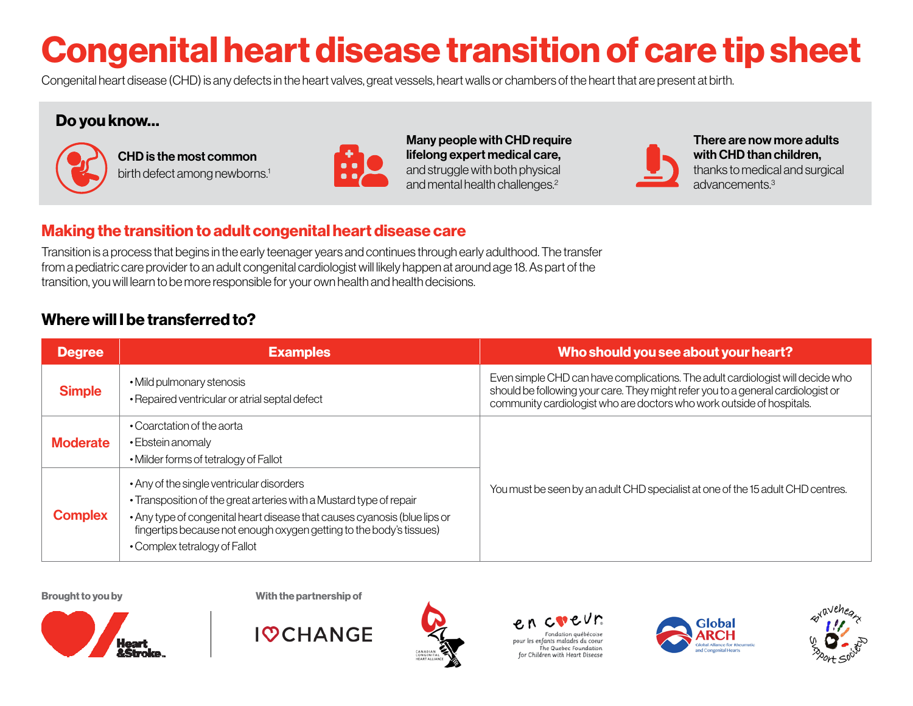# Congenital heart disease transition of care tip sheet

Congenital heart disease (CHD) is any defects in the heart valves, great vessels, heart walls or chambers of the heart that are present at birth.

### Do you know…



CHD is the most common birth defect among newborns.<sup>1</sup>



Many people with CHD require lifelong expert medical care, and struggle with both physical and mental health challenges.<sup>2</sup>



There are now more adults with CHD than children, thanks to medical and surgical advancements.3

# Making the transition to adult congenital heart disease care

Transition is a process that begins in the early teenager years and continues through early adulthood. The transfer from a pediatric care provider to an adult congenital cardiologist will likely happen at around age 18. As part of the transition, you will learn to be more responsible for your own health and health decisions.

# Where will I be transferred to?

| <b>Degree</b>   | <b>Examples</b>                                                                                                                                                                                                                                                                                       | Who should you see about your heart?                                                                                                                                                                                                        |
|-----------------|-------------------------------------------------------------------------------------------------------------------------------------------------------------------------------------------------------------------------------------------------------------------------------------------------------|---------------------------------------------------------------------------------------------------------------------------------------------------------------------------------------------------------------------------------------------|
| <b>Simple</b>   | • Mild pulmonary stenosis<br>• Repaired ventricular or atrial septal defect                                                                                                                                                                                                                           | Even simple CHD can have complications. The adult cardiologist will decide who<br>should be following your care. They might refer you to a general cardiologist or<br>community cardiologist who are doctors who work outside of hospitals. |
| <b>Moderate</b> | • Coarctation of the aorta<br>• Ebstein anomaly<br>• Milder forms of tetralogy of Fallot                                                                                                                                                                                                              |                                                                                                                                                                                                                                             |
| <b>Complex</b>  | • Any of the single ventricular disorders<br>• Transposition of the great arteries with a Mustard type of repair<br>• Any type of congenital heart disease that causes cyanosis (blue lips or<br>fingertips because not enough oxygen getting to the body's tissues)<br>• Complex tetralogy of Fallot | You must be seen by an adult CHD specialist at one of the 15 adult CHD centres.                                                                                                                                                             |

Brought to you by Nith the partnership of



**IOCHANGE**